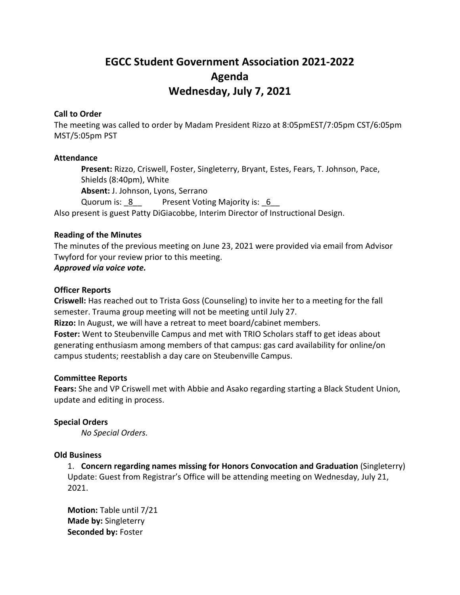# **EGCC Student Government Association 2021-2022 Agenda Wednesday, July 7, 2021**

## **Call to Order**

The meeting was called to order by Madam President Rizzo at 8:05pmEST/7:05pm CST/6:05pm MST/5:05pm PST

### **Attendance**

**Present:** Rizzo, Criswell, Foster, Singleterry, Bryant, Estes, Fears, T. Johnson, Pace, Shields (8:40pm), White **Absent:** J. Johnson, Lyons, Serrano Quorum is: 8 Present Voting Majority is: 6 Also present is guest Patty DiGiacobbe, Interim Director of Instructional Design.

## **Reading of the Minutes**

The minutes of the previous meeting on June 23, 2021 were provided via email from Advisor Twyford for your review prior to this meeting.

## *Approved via voice vote.*

### **Officer Reports**

**Criswell:** Has reached out to Trista Goss (Counseling) to invite her to a meeting for the fall semester. Trauma group meeting will not be meeting until July 27.

**Rizzo:** In August, we will have a retreat to meet board/cabinet members. **Foster:** Went to Steubenville Campus and met with TRIO Scholars staff to get ideas about

generating enthusiasm among members of that campus: gas card availability for online/on campus students; reestablish a day care on Steubenville Campus.

#### **Committee Reports**

**Fears:** She and VP Criswell met with Abbie and Asako regarding starting a Black Student Union, update and editing in process.

#### **Special Orders**

*No Special Orders.*

#### **Old Business**

1. **Concern regarding names missing for Honors Convocation and Graduation** (Singleterry) Update: Guest from Registrar's Office will be attending meeting on Wednesday, July 21, 2021.

**Motion:** Table until 7/21 **Made by:** Singleterry **Seconded by:** Foster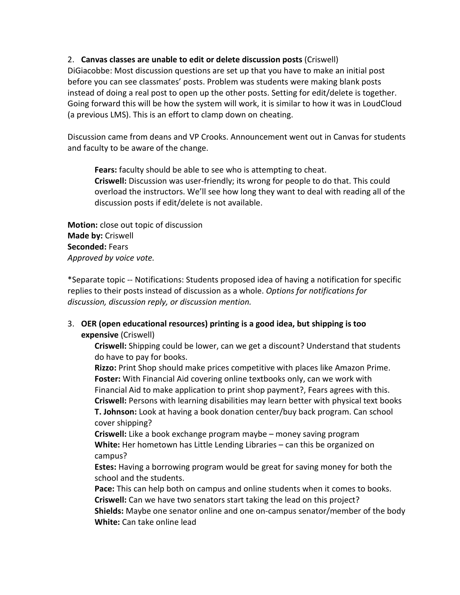## 2. **Canvas classes are unable to edit or delete discussion posts** (Criswell)

DiGiacobbe: Most discussion questions are set up that you have to make an initial post before you can see classmates' posts. Problem was students were making blank posts instead of doing a real post to open up the other posts. Setting for edit/delete is together. Going forward this will be how the system will work, it is similar to how it was in LoudCloud (a previous LMS). This is an effort to clamp down on cheating.

Discussion came from deans and VP Crooks. Announcement went out in Canvas for students and faculty to be aware of the change.

**Fears:** faculty should be able to see who is attempting to cheat. **Criswell:** Discussion was user-friendly; its wrong for people to do that. This could overload the instructors. We'll see how long they want to deal with reading all of the discussion posts if edit/delete is not available.

**Motion:** close out topic of discussion **Made by:** Criswell **Seconded:** Fears *Approved by voice vote.*

\*Separate topic -- Notifications: Students proposed idea of having a notification for specific replies to their posts instead of discussion as a whole. *Options for notifications for discussion, discussion reply, or discussion mention.*

# 3. **OER (open educational resources) printing is a good idea, but shipping is too expensive** (Criswell)

**Criswell:** Shipping could be lower, can we get a discount? Understand that students do have to pay for books.

**Rizzo:** Print Shop should make prices competitive with places like Amazon Prime. **Foster:** With Financial Aid covering online textbooks only, can we work with Financial Aid to make application to print shop payment?, Fears agrees with this. **Criswell:** Persons with learning disabilities may learn better with physical text books **T. Johnson:** Look at having a book donation center/buy back program. Can school cover shipping?

**Criswell:** Like a book exchange program maybe – money saving program **White:** Her hometown has Little Lending Libraries – can this be organized on campus?

**Estes:** Having a borrowing program would be great for saving money for both the school and the students.

**Pace:** This can help both on campus and online students when it comes to books. **Criswell:** Can we have two senators start taking the lead on this project? **Shields:** Maybe one senator online and one on-campus senator/member of the body **White:** Can take online lead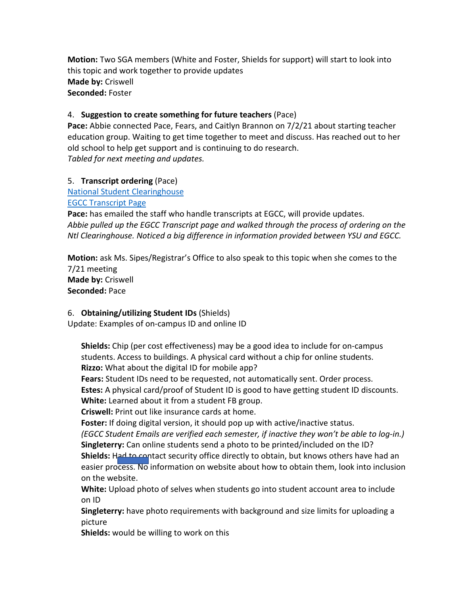**Motion:** Two SGA members (White and Foster, Shields for support) will start to look into this topic and work together to provide updates **Made by:** Criswell **Seconded:** Foster

# 4. **Suggestion to create something for future teachers** (Pace)

**Pace:** Abbie connected Pace, Fears, and Caitlyn Brannon on 7/2/21 about starting teacher education group. Waiting to get time together to meet and discuss. Has reached out to her old school to help get support and is continuing to do research. *Tabled for next meeting and updates.*

# 5. **Transcript ordering** (Pace)

[National Student Clearinghouse](https://www.studentclearinghouse.org/) [EGCC Transcript Page](https://egcc.edu/academics/general-information/transcript-request/)

**Pace:** has emailed the staff who handle transcripts at EGCC, will provide updates. *Abbie pulled up the EGCC Transcript page and walked through the process of ordering on the Ntl Clearinghouse. Noticed a big difference in information provided between YSU and EGCC.* 

**Motion:** ask Ms. Sipes/Registrar's Office to also speak to this topic when she comes to the 7/21 meeting **Made by:** Criswell **Seconded:** Pace

# 6. **Obtaining/utilizing Student IDs** (Shields)

Update: Examples of on-campus ID and online ID

**Shields:** Chip (per cost effectiveness) may be a good idea to include for on-campus students. Access to buildings. A physical card without a chip for online students. **Rizzo:** What about the digital ID for mobile app?

**Fears:** Student IDs need to be requested, not automatically sent. Order process.

**Estes:** A physical card/proof of Student ID is good to have getting student ID discounts.

**White:** Learned about it from a student FB group.

**Criswell:** Print out like insurance cards at home.

**Foster:** If doing digital version, it should pop up with active/inactive status.

*(EGCC Student Emails are verified each semester, if inactive they won't be able to log-in.)* **Singleterry:** Can online students send a photo to be printed/included on the ID?

**Shields:** Had to contact security office directly to obtain, but knows others have had an easier process. No information on website about how to obtain them, look into inclusion on the website.

**White:** Upload photo of selves when students go into student account area to include on ID

**Singleterry:** have photo requirements with background and size limits for uploading a picture

**Shields:** would be willing to work on this